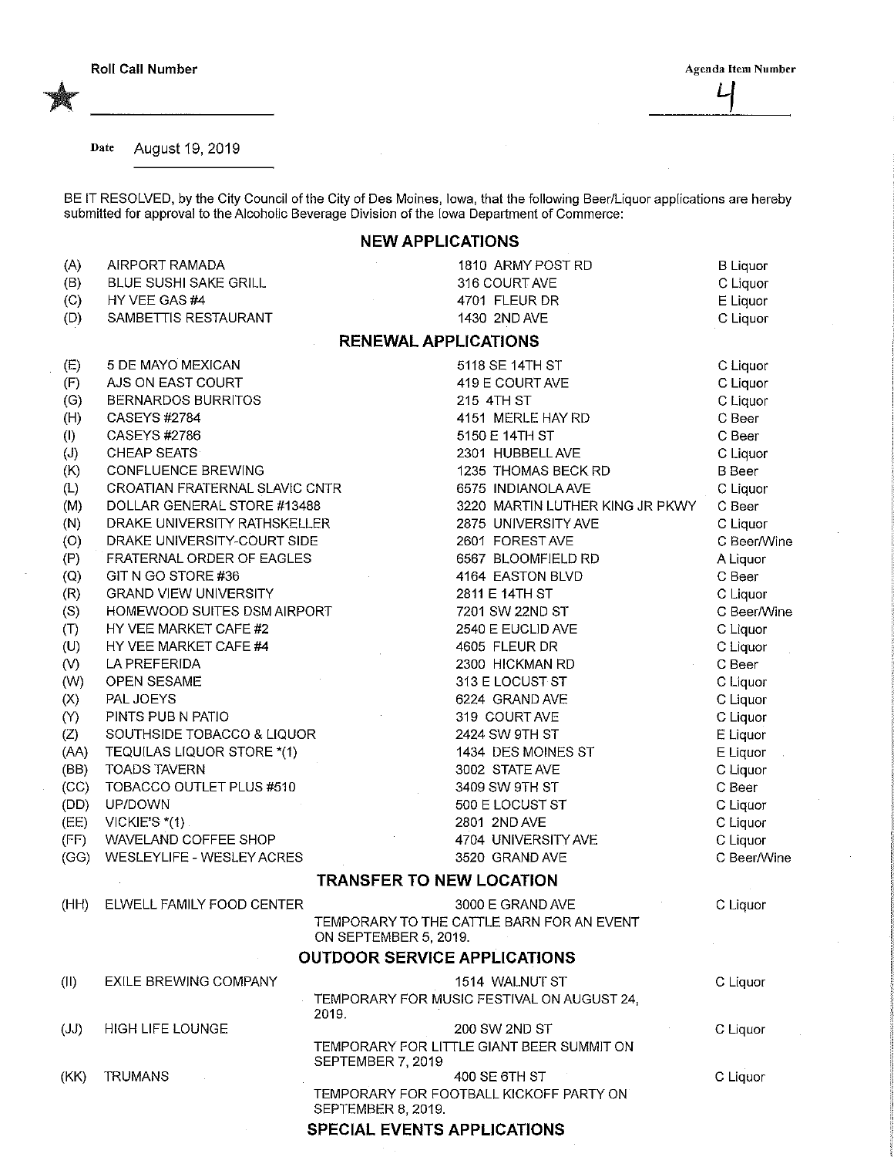Date August 19, 2019

BE IT RESOLVED, by the City Council of the City of Des Moines, Iowa, that the following Beer/Liquor applications are hereby submitted for approval to the Alcoholic Beverage Division of the Iowa Department of Commerce:

## NEW APPLICATIONS

| (A)                        | AIRPORT RAMADA                 | 1810 ARMY POST RD                                                    | <b>B</b> Liquor |  |  |  |  |
|----------------------------|--------------------------------|----------------------------------------------------------------------|-----------------|--|--|--|--|
| (B)                        | BLUE SUSHI SAKE GRILL          | 316 COURT AVE                                                        | C Liquor        |  |  |  |  |
| (C)                        | HY VEE GAS #4                  | 4701 FLEUR DR                                                        | E Liquor        |  |  |  |  |
| (D)                        | SAMBETTIS RESTAURANT           | 1430 2ND AVE                                                         | C Liquor        |  |  |  |  |
|                            | <b>RENEWAL APPLICATIONS</b>    |                                                                      |                 |  |  |  |  |
| (E)                        | 5 DE MAYO MEXICAN              | 5118 SE 14TH ST                                                      | C Liquor        |  |  |  |  |
| (F)                        | AJS ON EAST COURT              | 419 E COURT AVE                                                      | C Liquor        |  |  |  |  |
| (G)                        | <b>BERNARDOS BURRITOS</b>      | 215 4TH ST                                                           | C Liquor        |  |  |  |  |
| (H)                        | <b>CASEYS #2784</b>            | 4151 MERLE HAY RD                                                    | C Beer          |  |  |  |  |
| $\left( \mathsf{I}\right)$ | CASEYS #2786                   | 5150 E 14TH ST                                                       | C Beer          |  |  |  |  |
| (J)                        | <b>CHEAP SEATS</b>             | 2301 HUBBELL AVE                                                     | C Liquor        |  |  |  |  |
| (K)                        | CONFLUENCE BREWING             | 1235 THOMAS BECK RD                                                  | <b>B</b> Beer   |  |  |  |  |
| (L)                        | CROATIAN FRATERNAL SLAVIC CNTR | 6575 INDIANOLA AVE                                                   | C Liquor        |  |  |  |  |
| (M)                        | DOLLAR GENERAL STORE #13488    | 3220 MARTIN LUTHER KING JR PKWY                                      | C Beer          |  |  |  |  |
| (N)                        | DRAKE UNIVERSITY RATHSKELLER   | 2875 UNIVERSITY AVE                                                  | C Liquor        |  |  |  |  |
| (O)                        | DRAKE UNIVERSITY-COURT SIDE    | 2601 FORESTAVE                                                       | C Beer/Wine     |  |  |  |  |
| (P)                        | FRATERNAL ORDER OF EAGLES      | 6567 BLOOMFIELD RD                                                   | A Liquor        |  |  |  |  |
| (Q)                        | GIT N GO STORE #36             | 4164 EASTON BLVD                                                     | C Beer          |  |  |  |  |
| (R)                        | <b>GRAND VIEW UNIVERSITY</b>   | 2811 E 14TH ST                                                       | C Liquor        |  |  |  |  |
| (S)                        | HOMEWOOD SUITES DSM AIRPORT    | 7201 SW 22ND ST                                                      | C Beer/Wine     |  |  |  |  |
| (T)                        | HY VEE MARKET CAFE #2          | 2540 E EUCLID AVE                                                    | C Liquor        |  |  |  |  |
| (U)                        | HY VEE MARKET CAFE #4          | 4605 FLEUR DR                                                        | C Liquor        |  |  |  |  |
| (V)                        | LA PREFERIDA                   | 2300 HICKMAN RD                                                      | C Beer          |  |  |  |  |
| (W)                        | OPEN SESAME                    | 313 E LOCUST ST                                                      | C Liquor        |  |  |  |  |
| (X)                        | PAL JOEYS                      | 6224 GRAND AVE                                                       | C Liquor        |  |  |  |  |
| (Y)                        | PINTS PUB N PATIO              | 319 COURT AVE                                                        | C Liquor        |  |  |  |  |
| (Z)                        | SOUTHSIDE TOBACCO & LIQUOR     | 2424 SW 9TH ST                                                       | E Liquor        |  |  |  |  |
| (AA)                       | TEQUILAS LIQUOR STORE *(1)     | 1434 DES MOINES ST                                                   | E Liquor        |  |  |  |  |
| (BB)                       | <b>TOADS TAVERN</b>            | 3002 STATE AVE                                                       | C Liquor        |  |  |  |  |
| (CC)                       | TOBACCO OUTLET PLUS #510       | 3409 SW 9TH ST                                                       | C Beer          |  |  |  |  |
| (DD)                       | UP/DOWN                        | 500 E LOCUST ST                                                      | C Liquor        |  |  |  |  |
| (EE)                       | VICKIE'S $*(1)$ .              | 2801 2ND AVE                                                         | C Liquor        |  |  |  |  |
| (FF)                       | WAVELAND COFFEE SHOP           | 4704 UNIVERSITY AVE                                                  | C Liquor        |  |  |  |  |
| (GG)                       | WESLEYLIFE - WESLEY ACRES      | 3520 GRAND AVE                                                       | C Beer/Wine     |  |  |  |  |
|                            |                                | <b>TRANSFER TO NEW LOCATION</b>                                      |                 |  |  |  |  |
| (HH)                       | ELWELL FAMILY FOOD CENTER      | 3000 E GRAND AVE                                                     | C Liquor        |  |  |  |  |
|                            |                                | TEMPORARY TO THE CATTLE BARN FOR AN EVENT<br>ON SEPTEMBER 5, 2019.   |                 |  |  |  |  |
|                            |                                | <b>OUTDOOR SERVICE APPLICATIONS</b>                                  |                 |  |  |  |  |
| (11)                       | EXILE BREWING COMPANY          | 1514 WALNUT ST                                                       | C Liquor        |  |  |  |  |
|                            |                                | TEMPORARY FOR MUSIC FESTIVAL ON AUGUST 24,<br>2019.                  |                 |  |  |  |  |
| (JJ)                       | <b>HIGH LIFE LOUNGE</b>        | 200 SW 2ND ST                                                        | C Liquor        |  |  |  |  |
|                            |                                | TEMPORARY FOR LITTLE GIANT BEER SUMMIT ON<br>SEPTEMBER 7, 2019       |                 |  |  |  |  |
| (KK)                       | <b>TRUMANS</b>                 | 400 SE 6TH ST                                                        | C Liquor        |  |  |  |  |
|                            |                                | TEMPORARY FOR FOOTBALL KICKOFF PARTY ON<br><b>SEPTEMBER 8, 2019.</b> |                 |  |  |  |  |
|                            |                                | SPECIAL EVENTS APPLICATIONS                                          |                 |  |  |  |  |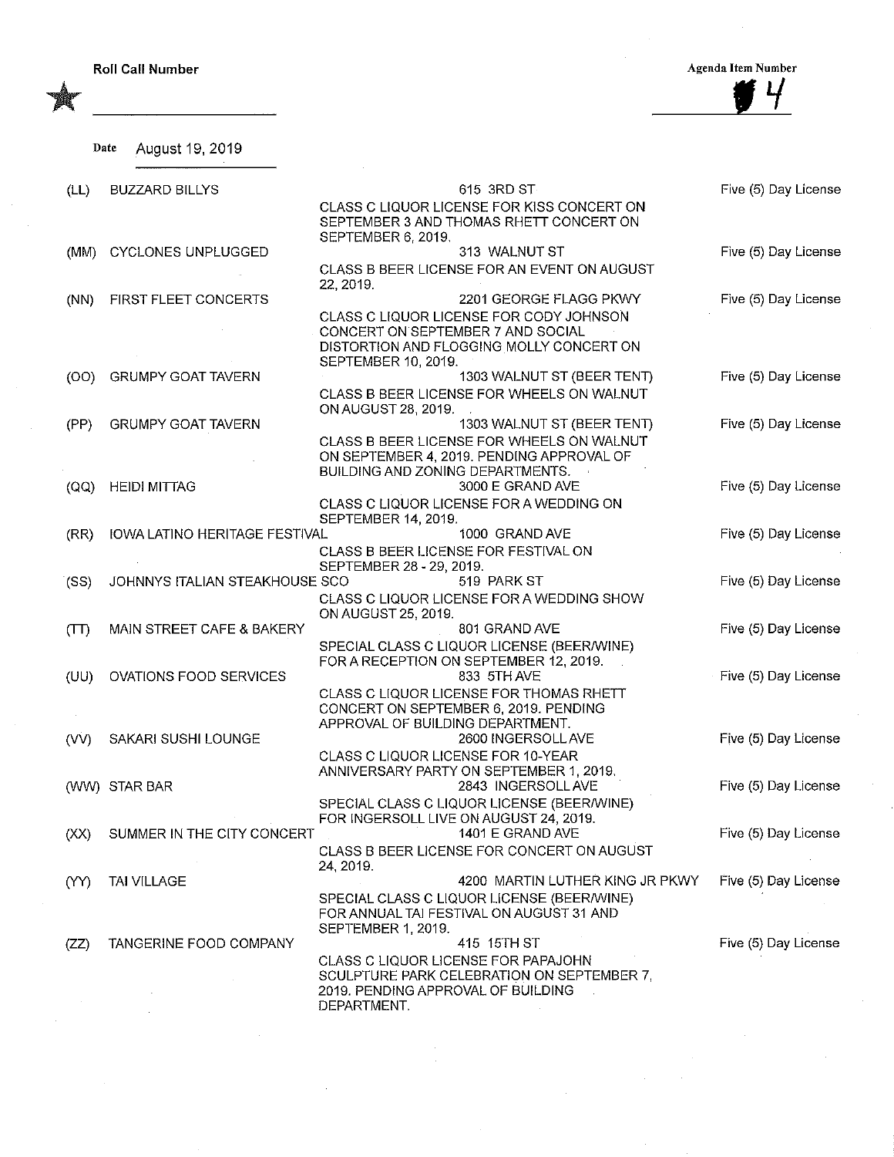Roll Call Number Agenda Item Number

 $\frac{\frac{4}{3}4}{\frac{4}{3}4}$ 

|    | Date August 19, 2019<br>٠ |  |
|----|---------------------------|--|
| L) | <b>BUZZARD BILLYS</b>     |  |

| (LL) | <b>BUZZARD BILLYS</b>          | 615 3RD ST                                                                                                                                      | Five (5) Day License |
|------|--------------------------------|-------------------------------------------------------------------------------------------------------------------------------------------------|----------------------|
|      |                                | CLASS C LIQUOR LICENSE FOR KISS CONCERT ON<br>SEPTEMBER 3 AND THOMAS RHETT CONCERT ON<br>SEPTEMBER 6, 2019.                                     |                      |
| (MM) | <b>CYCLONES UNPLUGGED</b>      | 313 WALNUT ST                                                                                                                                   | Five (5) Day License |
|      |                                | CLASS B BEER LICENSE FOR AN EVENT ON AUGUST<br>22, 2019.                                                                                        |                      |
| (NN) | FIRST FLEET CONCERTS           | 2201 GEORGE FLAGG PKWY                                                                                                                          | Five (5) Day License |
|      |                                | CLASS C LIQUOR LICENSE FOR CODY JOHNSON<br>CONCERT ON SEPTEMBER 7 AND SOCIAL<br>DISTORTION AND FLOGGING MOLLY CONCERT ON<br>SEPTEMBER 10, 2019. |                      |
| (OO) | <b>GRUMPY GOAT TAVERN</b>      | 1303 WALNUT ST (BEER TENT)                                                                                                                      | Five (5) Day License |
|      |                                | CLASS B BEER LICENSE FOR WHEELS ON WALNUT<br>ON AUGUST 28, 2019.                                                                                |                      |
| (PP) | <b>GRUMPY GOAT TAVERN</b>      | 1303 WALNUT ST (BEER TENT)                                                                                                                      | Five (5) Day License |
|      |                                | CLASS B BEER LICENSE FOR WHEELS ON WALNUT<br>ON SEPTEMBER 4, 2019. PENDING APPROVAL OF<br>BUILDING AND ZONING DEPARTMENTS.                      |                      |
| (OQ) | <b>HEIDI MITTAG</b>            | 3000 E GRAND AVE                                                                                                                                | Five (5) Day License |
|      |                                | CLASS C LIQUOR LICENSE FOR A WEDDING ON<br>SEPTEMBER 14, 2019.                                                                                  |                      |
| (RR) | IOWA LATINO HERITAGE FESTIVAL  | 1000 GRAND AVE                                                                                                                                  | Five (5) Day License |
|      |                                | CLASS B BEER LICENSE FOR FESTIVAL ON<br>SEPTEMBER 28 - 29, 2019.                                                                                |                      |
| (SS) | JOHNNYS ITALIAN STEAKHOUSE SCO | 519 PARK ST                                                                                                                                     | Five (5) Day License |
|      |                                | CLASS C LIQUOR LICENSE FOR A WEDDING SHOW<br>ON AUGUST 25, 2019.                                                                                |                      |
| (TT) | MAIN STREET CAFE & BAKERY      | 801 GRAND AVE                                                                                                                                   | Five (5) Day License |
| (UU) | OVATIONS FOOD SERVICES         | SPECIAL CLASS C LIQUOR LICENSE (BEER/WINE)<br>FOR A RECEPTION ON SEPTEMBER 12, 2019.<br>833 5TH AVE                                             | Five (5) Day License |
|      |                                | CLASS C LIQUOR LICENSE FOR THOMAS RHETT<br>CONCERT ON SEPTEMBER 6, 2019. PENDING<br>APPROVAL OF BUILDING DEPARTMENT.                            |                      |
| (VV) | SAKARI SUSHI LOUNGE            | 2600 INGERSOLL AVE                                                                                                                              | Five (5) Day License |
|      | (WW) STAR BAR                  | CLASS C LIQUOR LICENSE FOR 10-YEAR<br>ANNIVERSARY PARTY ON SEPTEMBER 1, 2019.<br>2843 INGERSOLL AVE                                             | Five (5) Day License |
|      |                                | SPECIAL CLASS C LIQUOR LICENSE (BEER/WINE)<br>FOR INGERSOLL LIVE ON AUGUST 24, 2019.                                                            |                      |
| (XX) | SUMMER IN THE CITY CONCERT     | 1401 E GRAND AVE                                                                                                                                | Five (5) Day License |
|      |                                | CLASS B BEER LICENSE FOR CONCERT ON AUGUST<br>24, 2019.                                                                                         |                      |
| (YY) | <b>TAI VILLAGE</b>             | 4200 MARTIN LUTHER KING JR PKWY<br>SPECIAL CLASS C LIQUOR LICENSE (BEER/WINE)<br>FOR ANNUAL TAI FESTIVAL ON AUGUST 31 AND<br>SEPTEMBER 1, 2019. | Five (5) Day License |
| (ZZ) | TANGERINE FOOD COMPANY         | 415 15TH ST                                                                                                                                     | Five (5) Day License |
|      |                                | CLASS C LIQUOR LICENSE FOR PAPAJOHN<br>SCULPTURE PARK CELEBRATION ON SEPTEMBER 7,<br>2019. PENDING APPROVAL OF BUILDING                         |                      |
|      |                                | DEPARTMENT.                                                                                                                                     |                      |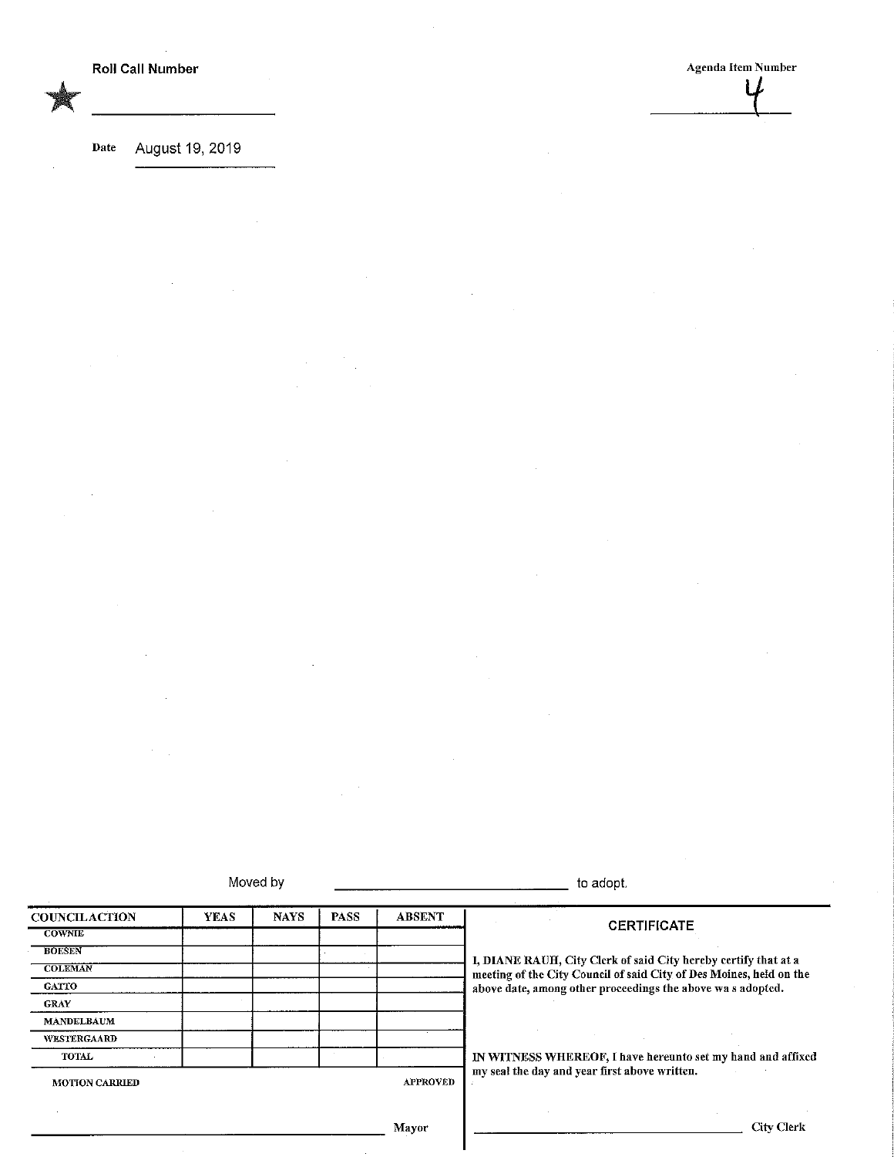Roll Call Number Agenda Item Number ł

Date August 19, 2019

 $\bar{z}$ 

|                       |             | Moved by    |                 |               | to adopt.                                                           |  |
|-----------------------|-------------|-------------|-----------------|---------------|---------------------------------------------------------------------|--|
| <b>COUNCILACTION</b>  | <b>YEAS</b> | <b>NAYS</b> | <b>PASS</b>     | <b>ABSENT</b> | <b>CERTIFICATE</b>                                                  |  |
| <b>COWNIE</b>         |             |             |                 |               |                                                                     |  |
| <b>BOESEN</b>         |             |             |                 |               | I, DIANE RAUH, City Clerk of said City hereby certify that at a     |  |
| <b>COLEMAN</b>        |             |             |                 |               | meeting of the City Council of said City of Des Moines, held on the |  |
| <b>GATTO</b>          |             |             |                 |               | above date, among other proceedings the above was adopted.          |  |
| <b>GRAY</b>           |             |             |                 |               |                                                                     |  |
| <b>MANDELBAUM</b>     |             |             |                 |               |                                                                     |  |
| WESTERGAARD           |             |             |                 |               |                                                                     |  |
| <b>TOTAL</b>          |             |             |                 |               | IN WITNESS WHEREOF, I have hereunto set my hand and affixed         |  |
| <b>MOTION CARRIED</b> |             |             | <b>APPROVED</b> |               | my seal the day and year first above written.                       |  |
|                       |             |             |                 |               |                                                                     |  |
|                       |             |             |                 | Mayor         | <b>City Clerk</b>                                                   |  |